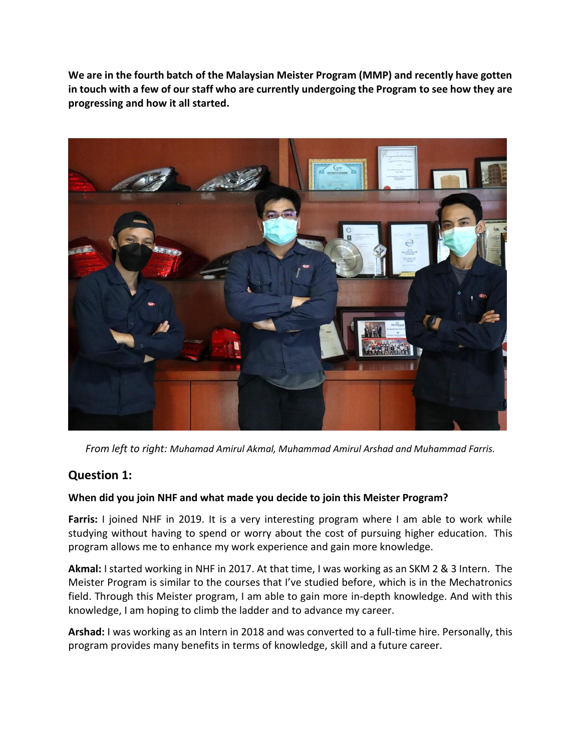**We are in the fourth batch of the Malaysian Meister Program (MMP) and recently have gotten in touch with a few of our staff who are currently undergoing the Program to see how they are progressing and how it all started.**



*From left to right: Muhamad Amirul Akmal, Muhammad Amirul Arshad and Muhammad Farris.*

# **Question 1:**

## **When did you join NHF and what made you decide to join this Meister Program?**

**Farris:** I joined NHF in 2019. It is a very interesting program where I am able to work while studying without having to spend or worry about the cost of pursuing higher education. This program allows me to enhance my work experience and gain more knowledge.

**Akmal:** I started working in NHF in 2017. At that time, I was working as an SKM 2 & 3 Intern. The Meister Program is similar to the courses that I've studied before, which is in the Mechatronics field. Through this Meister program, I am able to gain more in-depth knowledge. And with this knowledge, I am hoping to climb the ladder and to advance my career.

**Arshad:** I was working as an Intern in 2018 and was converted to a full-time hire. Personally, this program provides many benefits in terms of knowledge, skill and a future career.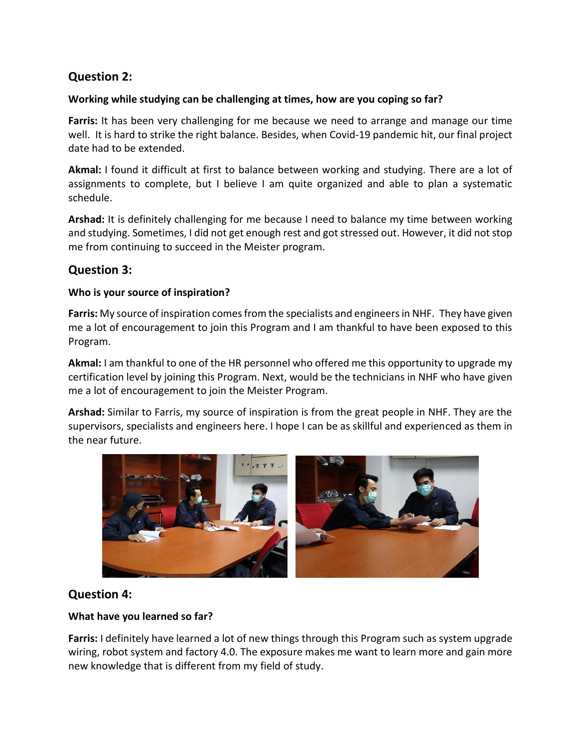# **Question 2:**

### **Working while studying can be challenging at times, how are you coping so far?**

**Farris:** It has been very challenging for me because we need to arrange and manage our time well. It is hard to strike the right balance. Besides, when Covid-19 pandemic hit, our final project date had to be extended.

**Akmal:** I found it difficult at first to balance between working and studying. There are a lot of assignments to complete, but I believe I am quite organized and able to plan a systematic schedule.

**Arshad:** It is definitely challenging for me because I need to balance my time between working and studying. Sometimes, I did not get enough rest and got stressed out. However, it did not stop me from continuing to succeed in the Meister program.

## **Question 3:**

#### **Who is your source of inspiration?**

**Farris:** My source of inspiration comes from the specialists and engineersin NHF. They have given me a lot of encouragement to join this Program and I am thankful to have been exposed to this Program.

**Akmal:** I am thankful to one of the HR personnel who offered me this opportunity to upgrade my certification level by joining this Program. Next, would be the technicians in NHF who have given me a lot of encouragement to join the Meister Program.

**Arshad:** Similar to Farris, my source of inspiration is from the great people in NHF. They are the supervisors, specialists and engineers here. I hope I can be as skillful and experienced as them in the near future.



## **Question 4:**

## **What have you learned so far?**

**Farris:** I definitely have learned a lot of new things through this Program such as system upgrade wiring, robot system and factory 4.0. The exposure makes me want to learn more and gain more new knowledge that is different from my field of study.